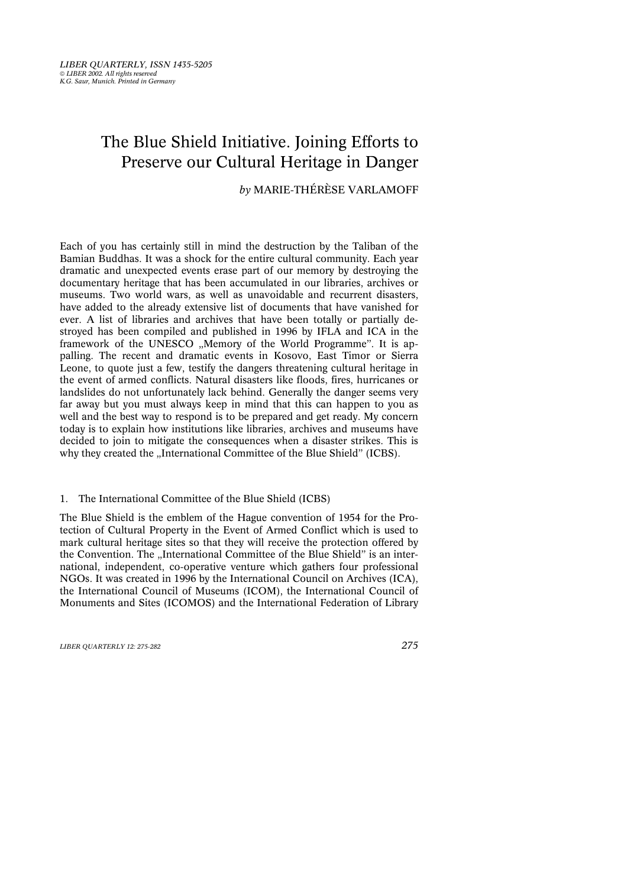# The Blue Shield Initiative. Joining Efforts to Preserve our Cultural Heritage in Danger

*by* MARIE-THÉRÈSE VARLAMOFF

Each of you has certainly still in mind the destruction by the Taliban of the Bamian Buddhas. It was a shock for the entire cultural community. Each year dramatic and unexpected events erase part of our memory by destroying the documentary heritage that has been accumulated in our libraries, archives or museums. Two world wars, as well as unavoidable and recurrent disasters, have added to the already extensive list of documents that have vanished for ever. A list of libraries and archives that have been totally or partially destroyed has been compiled and published in 1996 by IFLA and ICA in the framework of the UNESCO "Memory of the World Programme". It is appalling. The recent and dramatic events in Kosovo, East Timor or Sierra Leone, to quote just a few, testify the dangers threatening cultural heritage in the event of armed conflicts. Natural disasters like floods, fires, hurricanes or landslides do not unfortunately lack behind. Generally the danger seems very far away but you must always keep in mind that this can happen to you as well and the best way to respond is to be prepared and get ready. My concern today is to explain how institutions like libraries, archives and museums have decided to join to mitigate the consequences when a disaster strikes. This is why they created the "International Committee of the Blue Shield" (ICBS).

#### 1. The International Committee of the Blue Shield (ICBS)

The Blue Shield is the emblem of the Hague convention of 1954 for the Protection of Cultural Property in the Event of Armed Conflict which is used to mark cultural heritage sites so that they will receive the protection offered by the Convention. The "International Committee of the Blue Shield" is an international, independent, co-operative venture which gathers four professional NGOs. It was created in 1996 by the International Council on Archives (ICA), the International Council of Museums (ICOM), the International Council of Monuments and Sites (ICOMOS) and the International Federation of Library

*LIBER QUARTERLY 12: 275-282 275*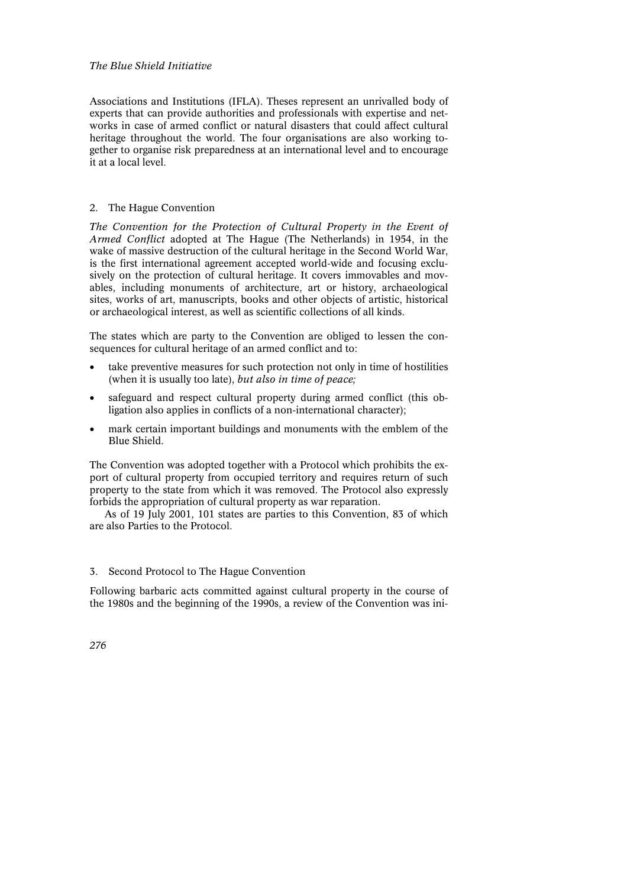Associations and Institutions (IFLA). Theses represent an unrivalled body of experts that can provide authorities and professionals with expertise and networks in case of armed conflict or natural disasters that could affect cultural heritage throughout the world. The four organisations are also working together to organise risk preparedness at an international level and to encourage it at a local level.

# 2. The Hague Convention

*The Convention for the Protection of Cultural Property in the Event of Armed Conflict* adopted at The Hague (The Netherlands) in 1954, in the wake of massive destruction of the cultural heritage in the Second World War, is the first international agreement accepted world-wide and focusing exclusively on the protection of cultural heritage. It covers immovables and movables, including monuments of architecture, art or history, archaeological sites, works of art, manuscripts, books and other objects of artistic, historical or archaeological interest, as well as scientific collections of all kinds.

The states which are party to the Convention are obliged to lessen the consequences for cultural heritage of an armed conflict and to:

- take preventive measures for such protection not only in time of hostilities (when it is usually too late), *but also in time of peace;*
- safeguard and respect cultural property during armed conflict (this obligation also applies in conflicts of a non-international character);
- mark certain important buildings and monuments with the emblem of the Blue Shield.

The Convention was adopted together with a Protocol which prohibits the export of cultural property from occupied territory and requires return of such property to the state from which it was removed. The Protocol also expressly forbids the appropriation of cultural property as war reparation.

As of 19 July 2001, 101 states are parties to this Convention, 83 of which are also Parties to the Protocol.

# 3. Second Protocol to The Hague Convention

Following barbaric acts committed against cultural property in the course of the 1980s and the beginning of the 1990s, a review of the Convention was ini-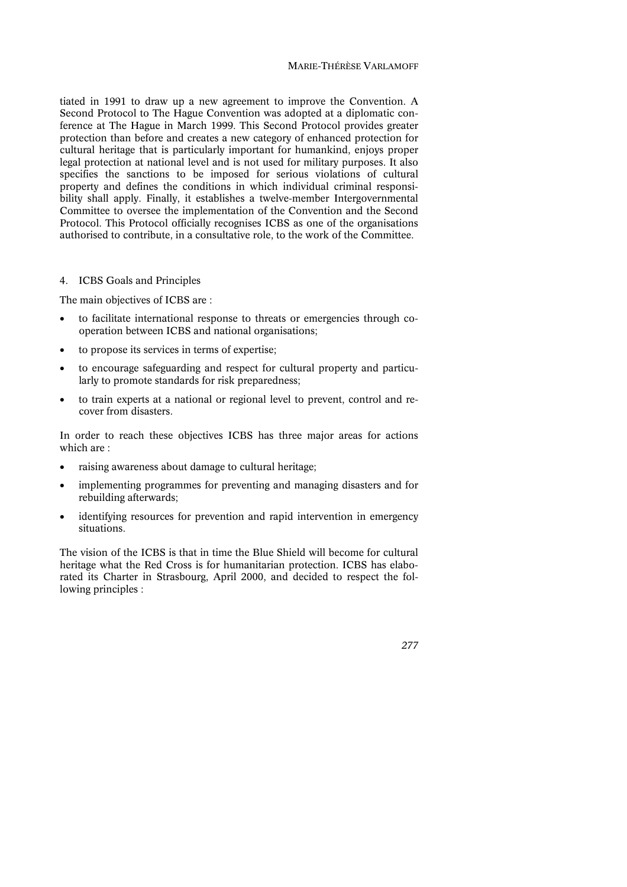tiated in 1991 to draw up a new agreement to improve the Convention. A Second Protocol to The Hague Convention was adopted at a diplomatic conference at The Hague in March 1999. This Second Protocol provides greater protection than before and creates a new category of enhanced protection for cultural heritage that is particularly important for humankind, enjoys proper legal protection at national level and is not used for military purposes. It also specifies the sanctions to be imposed for serious violations of cultural property and defines the conditions in which individual criminal responsibility shall apply. Finally, it establishes a twelve-member Intergovernmental Committee to oversee the implementation of the Convention and the Second Protocol. This Protocol officially recognises ICBS as one of the organisations authorised to contribute, in a consultative role, to the work of the Committee.

#### 4. ICBS Goals and Principles

The main objectives of ICBS are :

- to facilitate international response to threats or emergencies through cooperation between ICBS and national organisations;
- to propose its services in terms of expertise;
- to encourage safeguarding and respect for cultural property and particularly to promote standards for risk preparedness;
- to train experts at a national or regional level to prevent, control and recover from disasters.

In order to reach these objectives ICBS has three major areas for actions which are :

- raising awareness about damage to cultural heritage;
- implementing programmes for preventing and managing disasters and for rebuilding afterwards;
- identifying resources for prevention and rapid intervention in emergency situations.

The vision of the ICBS is that in time the Blue Shield will become for cultural heritage what the Red Cross is for humanitarian protection. ICBS has elaborated its Charter in Strasbourg, April 2000, and decided to respect the following principles :

*277*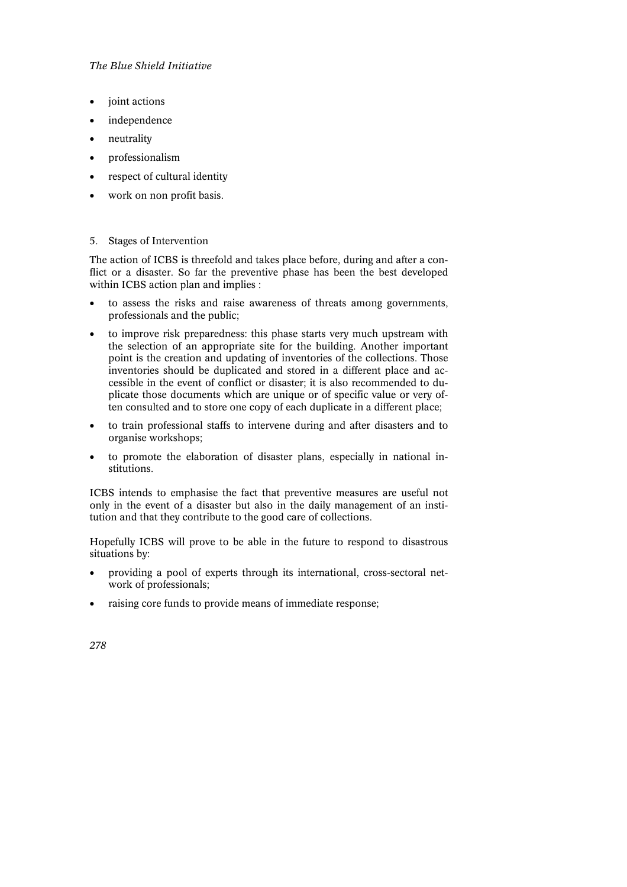- joint actions
- independence
- neutrality
- professionalism
- respect of cultural identity
- work on non profit basis.

### 5. Stages of Intervention

The action of ICBS is threefold and takes place before, during and after a conflict or a disaster. So far the preventive phase has been the best developed within ICBS action plan and implies :

- to assess the risks and raise awareness of threats among governments, professionals and the public;
- to improve risk preparedness: this phase starts very much upstream with the selection of an appropriate site for the building. Another important point is the creation and updating of inventories of the collections. Those inventories should be duplicated and stored in a different place and accessible in the event of conflict or disaster; it is also recommended to duplicate those documents which are unique or of specific value or very often consulted and to store one copy of each duplicate in a different place;
- to train professional staffs to intervene during and after disasters and to organise workshops;
- to promote the elaboration of disaster plans, especially in national institutions.

ICBS intends to emphasise the fact that preventive measures are useful not only in the event of a disaster but also in the daily management of an institution and that they contribute to the good care of collections.

Hopefully ICBS will prove to be able in the future to respond to disastrous situations by:

- providing a pool of experts through its international, cross-sectoral network of professionals;
- raising core funds to provide means of immediate response;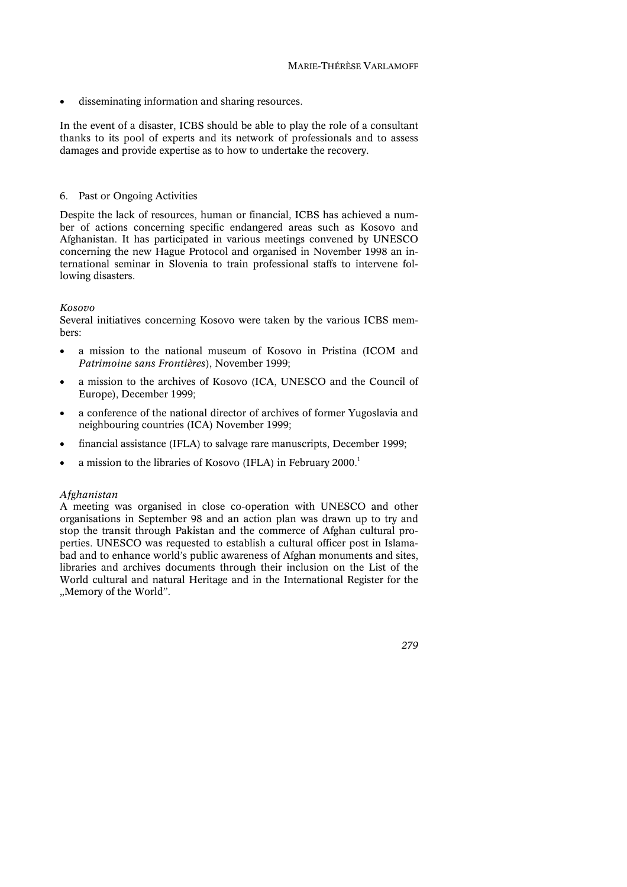• disseminating information and sharing resources.

In the event of a disaster, ICBS should be able to play the role of a consultant thanks to its pool of experts and its network of professionals and to assess damages and provide expertise as to how to undertake the recovery.

# 6. Past or Ongoing Activities

Despite the lack of resources, human or financial, ICBS has achieved a number of actions concerning specific endangered areas such as Kosovo and Afghanistan. It has participated in various meetings convened by UNESCO concerning the new Hague Protocol and organised in November 1998 an international seminar in Slovenia to train professional staffs to intervene following disasters.

### *Kosovo*

Several initiatives concerning Kosovo were taken by the various ICBS members:

- a mission to the national museum of Kosovo in Pristina (ICOM and *Patrimoine sans Frontières*), November 1999;
- a mission to the archives of Kosovo (ICA, UNESCO and the Council of Europe), December 1999;
- a conference of the national director of archives of former Yugoslavia and neighbouring countries (ICA) November 1999;
- financial assistance (IFLA) to salvage rare manuscripts, December 1999;
- a mission to the libraries of Kosovo (IFLA) in February 2000.<sup>1</sup>

# *Afghanistan*

A meeting was organised in close co-operation with UNESCO and other organisations in September 98 and an action plan was drawn up to try and stop the transit through Pakistan and the commerce of Afghan cultural properties. UNESCO was requested to establish a cultural officer post in Islamabad and to enhance world's public awareness of Afghan monuments and sites, libraries and archives documents through their inclusion on the List of the World cultural and natural Heritage and in the International Register for the "Memory of the World".

*279*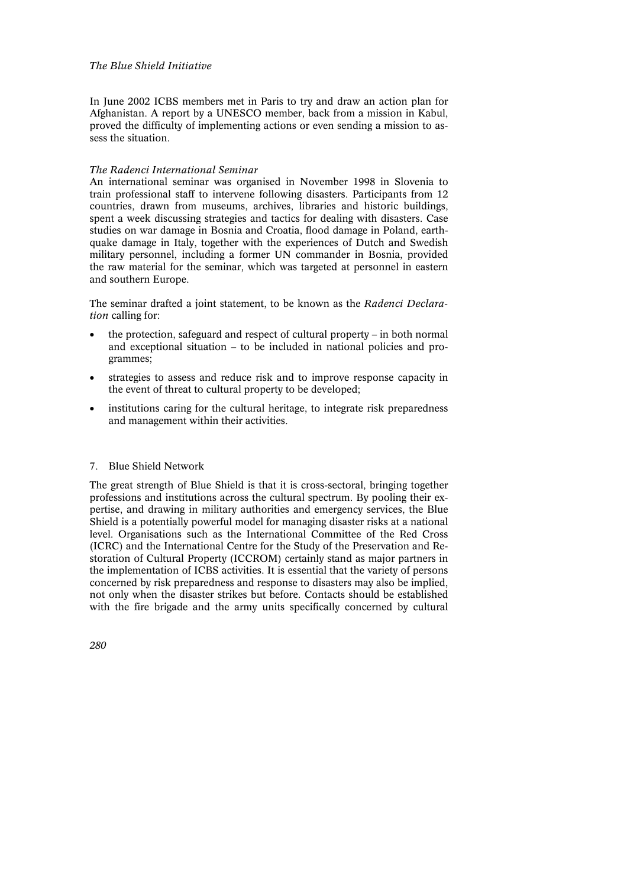In June 2002 ICBS members met in Paris to try and draw an action plan for Afghanistan. A report by a UNESCO member, back from a mission in Kabul, proved the difficulty of implementing actions or even sending a mission to assess the situation.

# *The Radenci International Seminar*

An international seminar was organised in November 1998 in Slovenia to train professional staff to intervene following disasters. Participants from 12 countries, drawn from museums, archives, libraries and historic buildings, spent a week discussing strategies and tactics for dealing with disasters. Case studies on war damage in Bosnia and Croatia, flood damage in Poland, earthquake damage in Italy, together with the experiences of Dutch and Swedish military personnel, including a former UN commander in Bosnia, provided the raw material for the seminar, which was targeted at personnel in eastern and southern Europe.

The seminar drafted a joint statement, to be known as the *Radenci Declaration* calling for:

- the protection, safeguard and respect of cultural property in both normal and exceptional situation – to be included in national policies and programmes;
- strategies to assess and reduce risk and to improve response capacity in the event of threat to cultural property to be developed;
- institutions caring for the cultural heritage, to integrate risk preparedness and management within their activities.

# 7. Blue Shield Network

The great strength of Blue Shield is that it is cross-sectoral, bringing together professions and institutions across the cultural spectrum. By pooling their expertise, and drawing in military authorities and emergency services, the Blue Shield is a potentially powerful model for managing disaster risks at a national level. Organisations such as the International Committee of the Red Cross (ICRC) and the International Centre for the Study of the Preservation and Restoration of Cultural Property (ICCROM) certainly stand as major partners in the implementation of ICBS activities. It is essential that the variety of persons concerned by risk preparedness and response to disasters may also be implied, not only when the disaster strikes but before. Contacts should be established with the fire brigade and the army units specifically concerned by cultural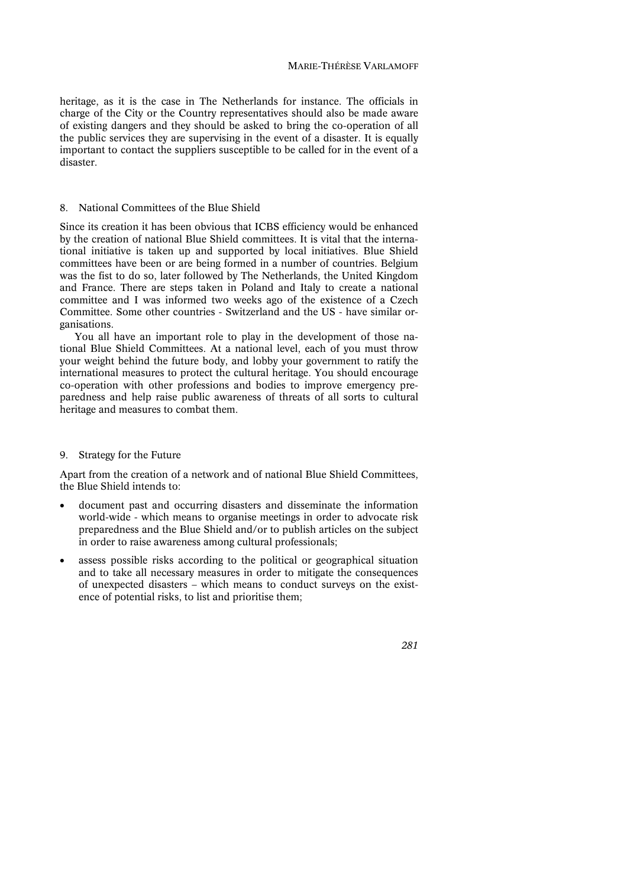heritage, as it is the case in The Netherlands for instance. The officials in charge of the City or the Country representatives should also be made aware of existing dangers and they should be asked to bring the co-operation of all the public services they are supervising in the event of a disaster. It is equally important to contact the suppliers susceptible to be called for in the event of a disaster.

#### 8. National Committees of the Blue Shield

Since its creation it has been obvious that ICBS efficiency would be enhanced by the creation of national Blue Shield committees. It is vital that the international initiative is taken up and supported by local initiatives. Blue Shield committees have been or are being formed in a number of countries. Belgium was the fist to do so, later followed by The Netherlands, the United Kingdom and France. There are steps taken in Poland and Italy to create a national committee and I was informed two weeks ago of the existence of a Czech Committee. Some other countries - Switzerland and the US - have similar organisations.

You all have an important role to play in the development of those national Blue Shield Committees. At a national level, each of you must throw your weight behind the future body, and lobby your government to ratify the international measures to protect the cultural heritage. You should encourage co-operation with other professions and bodies to improve emergency preparedness and help raise public awareness of threats of all sorts to cultural heritage and measures to combat them.

#### 9. Strategy for the Future

Apart from the creation of a network and of national Blue Shield Committees, the Blue Shield intends to:

- document past and occurring disasters and disseminate the information world-wide - which means to organise meetings in order to advocate risk preparedness and the Blue Shield and/or to publish articles on the subject in order to raise awareness among cultural professionals;
- assess possible risks according to the political or geographical situation and to take all necessary measures in order to mitigate the consequences of unexpected disasters – which means to conduct surveys on the existence of potential risks, to list and prioritise them;

### *281*